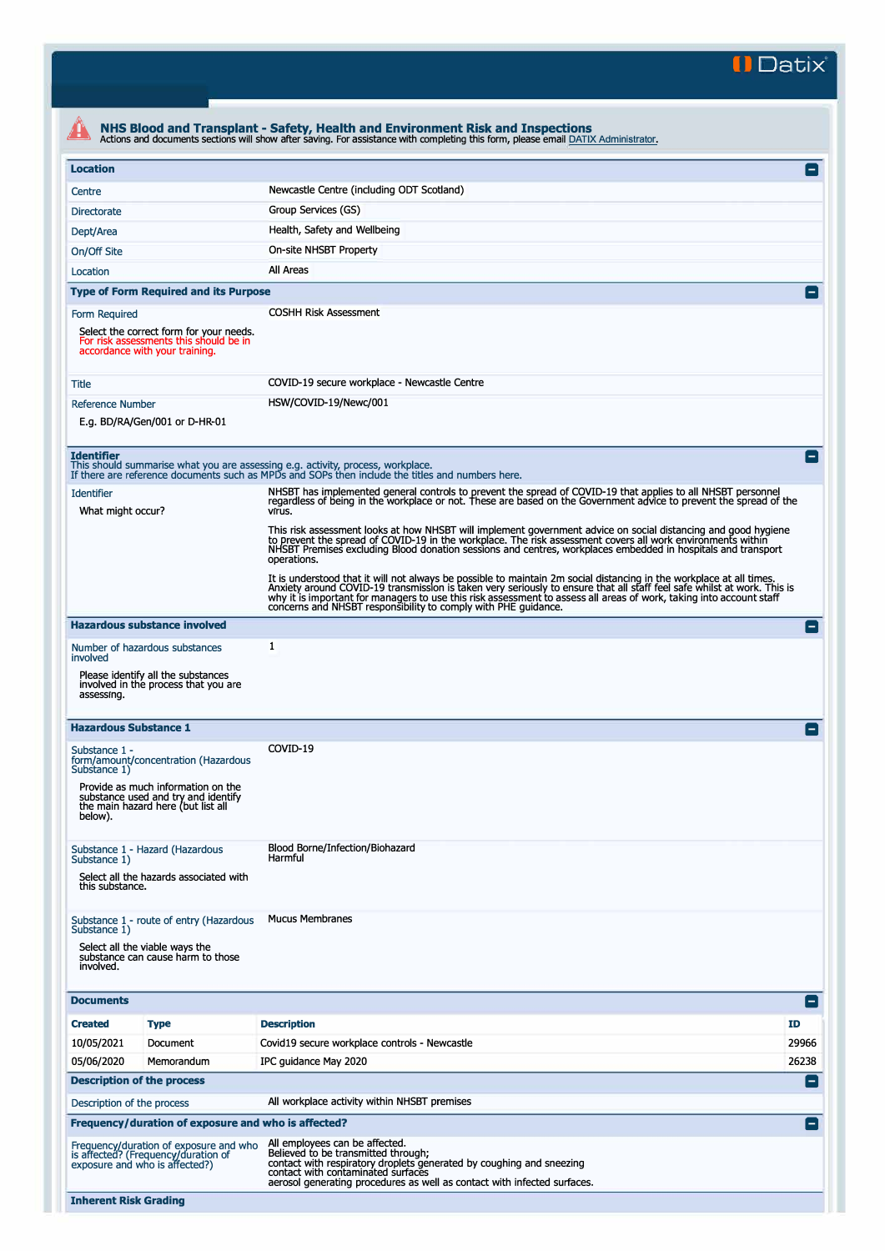**II Datix"** 

|                                                                                                                                                                                                                                                                                                                                                                                    |                                                                                                                     | NHS Blood and Transplant - Safety, Health and Environment Risk and Inspections<br>Actions and documents sections will show after saving. For assistance with completing this form, please email DATIX Administrator.                                                                                                                                                                                                                     |                 |
|------------------------------------------------------------------------------------------------------------------------------------------------------------------------------------------------------------------------------------------------------------------------------------------------------------------------------------------------------------------------------------|---------------------------------------------------------------------------------------------------------------------|------------------------------------------------------------------------------------------------------------------------------------------------------------------------------------------------------------------------------------------------------------------------------------------------------------------------------------------------------------------------------------------------------------------------------------------|-----------------|
| <b>Location</b>                                                                                                                                                                                                                                                                                                                                                                    |                                                                                                                     |                                                                                                                                                                                                                                                                                                                                                                                                                                          | e               |
| Centre                                                                                                                                                                                                                                                                                                                                                                             |                                                                                                                     | Newcastle Centre (including ODT Scotland)                                                                                                                                                                                                                                                                                                                                                                                                |                 |
| <b>Directorate</b>                                                                                                                                                                                                                                                                                                                                                                 |                                                                                                                     | Group Services (GS)                                                                                                                                                                                                                                                                                                                                                                                                                      |                 |
| Dept/Area                                                                                                                                                                                                                                                                                                                                                                          |                                                                                                                     | Health, Safety and Wellbeing                                                                                                                                                                                                                                                                                                                                                                                                             |                 |
| On/Off Site                                                                                                                                                                                                                                                                                                                                                                        |                                                                                                                     | On-site NHSBT Property                                                                                                                                                                                                                                                                                                                                                                                                                   |                 |
| Location                                                                                                                                                                                                                                                                                                                                                                           |                                                                                                                     | All Areas                                                                                                                                                                                                                                                                                                                                                                                                                                |                 |
| <b>Type of Form Required and its Purpose</b>                                                                                                                                                                                                                                                                                                                                       |                                                                                                                     |                                                                                                                                                                                                                                                                                                                                                                                                                                          |                 |
| <b>COSHH Risk Assessment</b><br>Form Required                                                                                                                                                                                                                                                                                                                                      |                                                                                                                     |                                                                                                                                                                                                                                                                                                                                                                                                                                          |                 |
|                                                                                                                                                                                                                                                                                                                                                                                    | Select the correct form for your needs.<br>For risk assessments this should be in<br>accordance with your training. |                                                                                                                                                                                                                                                                                                                                                                                                                                          |                 |
| Title                                                                                                                                                                                                                                                                                                                                                                              |                                                                                                                     | COVID-19 secure workplace - Newcastle Centre                                                                                                                                                                                                                                                                                                                                                                                             |                 |
| <b>Reference Number</b>                                                                                                                                                                                                                                                                                                                                                            |                                                                                                                     | HSW/COVID-19/Newc/001                                                                                                                                                                                                                                                                                                                                                                                                                    |                 |
| E.g. BD/RA/Gen/001 or D-HR-01                                                                                                                                                                                                                                                                                                                                                      |                                                                                                                     |                                                                                                                                                                                                                                                                                                                                                                                                                                          |                 |
| <b>Identifier</b>                                                                                                                                                                                                                                                                                                                                                                  |                                                                                                                     | This should summarise what you are assessing e.g. activity, process, workplace.<br>If there are reference documents such as MPDs and SOPs then include the titles and numbers here.                                                                                                                                                                                                                                                      | l –             |
| <b>Identifier</b><br>What might occur?                                                                                                                                                                                                                                                                                                                                             |                                                                                                                     | NHSBT has implemented general controls to prevent the spread of COVID-19 that applies to all NHSBT personnel<br>regardless of being in the workplace or not. These are based on the Government advice to prevent the spread of the<br>virus.                                                                                                                                                                                             |                 |
|                                                                                                                                                                                                                                                                                                                                                                                    |                                                                                                                     | This risk assessment looks at how NHSBT will implement government advice on social distancing and good hygiene<br>to prevent the spread of COVID-19 in the workplace. The risk assessment covers all work environments within<br>NHSBT Premises excluding Blood donation sessions and centres, workplaces embedded in hospitals and transport<br>operations.                                                                             |                 |
|                                                                                                                                                                                                                                                                                                                                                                                    |                                                                                                                     | It is understood that it will not always be possible to maintain 2m social distancing in the workplace at all times.<br>Anxiety around COVID-19 transmission is taken very seriously to ensure that all staff feel safe whilst at work. This is<br>why it is important for managers to use this risk assessment to assess all areas of work, taking into account staff<br>concerns and NHSBT responsibility to comply with PHE guidance. |                 |
|                                                                                                                                                                                                                                                                                                                                                                                    | <b>Hazardous substance involved</b>                                                                                 |                                                                                                                                                                                                                                                                                                                                                                                                                                          | $\blacksquare$  |
|                                                                                                                                                                                                                                                                                                                                                                                    | Number of hazardous substances                                                                                      | $\mathbf{1}$                                                                                                                                                                                                                                                                                                                                                                                                                             |                 |
| involved<br>assessing.                                                                                                                                                                                                                                                                                                                                                             | Please identify all the substances<br>involved in the process that you are                                          |                                                                                                                                                                                                                                                                                                                                                                                                                                          |                 |
| <b>Hazardous Substance 1</b>                                                                                                                                                                                                                                                                                                                                                       |                                                                                                                     |                                                                                                                                                                                                                                                                                                                                                                                                                                          | $\equiv$        |
| Substance 1 -<br>form/amount/concentration (Hazardous<br>Substance 1)                                                                                                                                                                                                                                                                                                              |                                                                                                                     | COVID-19                                                                                                                                                                                                                                                                                                                                                                                                                                 |                 |
| Provide as much information on the<br>substance used and try and identify<br>the main hazard here (but list all<br>below).                                                                                                                                                                                                                                                         |                                                                                                                     |                                                                                                                                                                                                                                                                                                                                                                                                                                          |                 |
| Substance 1 - Hazard (Hazardous<br>Substance 1)<br>Select all the hazards associated with<br>this substance.                                                                                                                                                                                                                                                                       |                                                                                                                     | Blood Borne/Infection/Biohazard<br>Harmful                                                                                                                                                                                                                                                                                                                                                                                               |                 |
| Substance 1 - route of entry (Hazardous<br>Substance 1)<br>Select all the viable ways the<br>substance can cause harm to those<br>involved.                                                                                                                                                                                                                                        |                                                                                                                     | <b>Mucus Membranes</b>                                                                                                                                                                                                                                                                                                                                                                                                                   |                 |
| <b>Documents</b>                                                                                                                                                                                                                                                                                                                                                                   |                                                                                                                     |                                                                                                                                                                                                                                                                                                                                                                                                                                          | $\vert - \vert$ |
| <b>Created</b>                                                                                                                                                                                                                                                                                                                                                                     | <b>Type</b>                                                                                                         | <b>Description</b>                                                                                                                                                                                                                                                                                                                                                                                                                       | <b>ID</b>       |
| 10/05/2021                                                                                                                                                                                                                                                                                                                                                                         | Document                                                                                                            | Covid19 secure workplace controls - Newcastle                                                                                                                                                                                                                                                                                                                                                                                            | 29966           |
| 05/06/2020                                                                                                                                                                                                                                                                                                                                                                         | Memorandum                                                                                                          | IPC guidance May 2020                                                                                                                                                                                                                                                                                                                                                                                                                    | 26238           |
| <b>Description of the process</b><br>$\vert - \vert$                                                                                                                                                                                                                                                                                                                               |                                                                                                                     |                                                                                                                                                                                                                                                                                                                                                                                                                                          |                 |
| All workplace activity within NHSBT premises<br>Description of the process                                                                                                                                                                                                                                                                                                         |                                                                                                                     |                                                                                                                                                                                                                                                                                                                                                                                                                                          |                 |
| Frequency/duration of exposure and who is affected?<br>$\blacksquare$                                                                                                                                                                                                                                                                                                              |                                                                                                                     |                                                                                                                                                                                                                                                                                                                                                                                                                                          |                 |
| All employees can be affected.<br>Frequency/duration of exposure and who<br>Believed to be transmitted through;<br>is affected? (Frequency/duration of<br>contact with respiratory droplets generated by coughing and sneezing<br>exposure and who is affected?)<br>contact with contaminated surfaces<br>aerosol generating procedures as well as contact with infected surfaces. |                                                                                                                     |                                                                                                                                                                                                                                                                                                                                                                                                                                          |                 |
| <b>Inherent Risk Grading</b>                                                                                                                                                                                                                                                                                                                                                       |                                                                                                                     |                                                                                                                                                                                                                                                                                                                                                                                                                                          |                 |